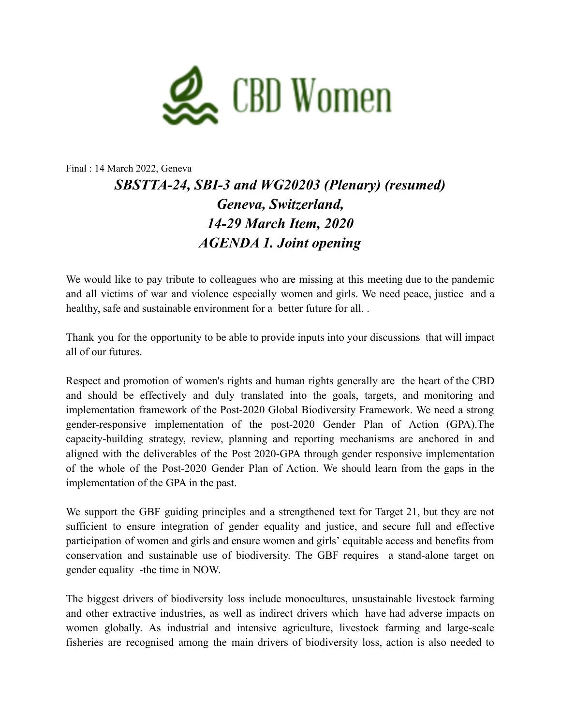

## Final : 14 March 2022, Geneva *SBSTTA-24, SBI-3 and WG20203 (Plenary) (resumed) Geneva, Switzerland, 14-29 March Item, 2020 AGENDA 1. Joint opening*

We would like to pay tribute to colleagues who are missing at this meeting due to the pandemic and all victims of war and violence especially women and girls. We need peace, justice and a healthy, safe and sustainable environment for a better future for all. .

Thank you for the opportunity to be able to provide inputs into your discussions that will impact all of our futures.

Respect and promotion of women's rights and human rights generally are the heart of the CBD and should be effectively and duly translated into the goals, targets, and monitoring and implementation framework of the Post-2020 Global Biodiversity Framework. We need a strong gender-responsive implementation of the post-2020 Gender Plan of Action (GPA).The capacity-building strategy, review, planning and reporting mechanisms are anchored in and aligned with the deliverables of the Post 2020-GPA through gender responsive implementation of the whole of the Post-2020 Gender Plan of Action. We should learn from the gaps in the implementation of the GPA in the past.

We support the GBF guiding principles and a strengthened text for Target 21, but they are not sufficient to ensure integration of gender equality and justice, and secure full and effective participation of women and girls and ensure women and girls' equitable access and benefits from conservation and sustainable use of biodiversity. The GBF requires a stand-alone target on gender equality -the time in NOW.

The biggest drivers of biodiversity loss include monocultures, unsustainable livestock farming and other extractive industries, as well as indirect drivers which have had adverse impacts on women globally. As industrial and intensive agriculture, livestock farming and large-scale fisheries are recognised among the main drivers of biodiversity loss, action is also needed to